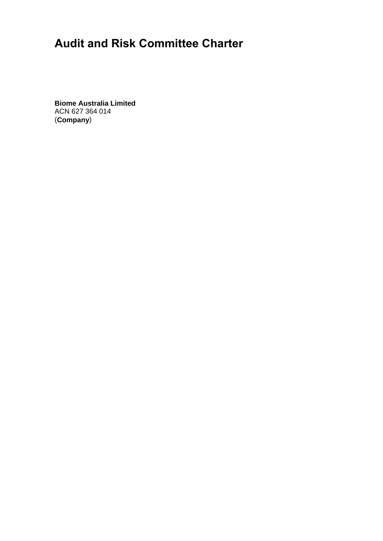# **Audit and Risk Committee Charter**

**Biome Australia Limited**  ACN 627 364 014 (**Company**)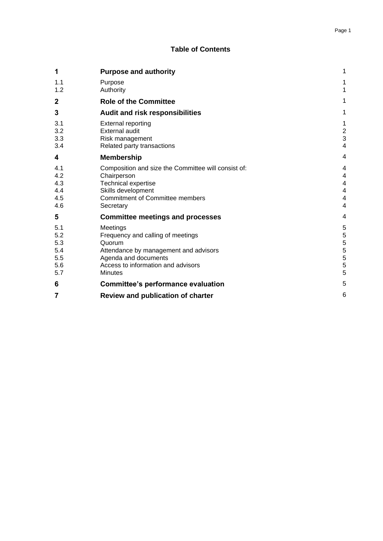#### Page 1

## **Table of Contents**

| 1                                             | <b>Purpose and authority</b>                                                                                                                                                     | 1                                                               |
|-----------------------------------------------|----------------------------------------------------------------------------------------------------------------------------------------------------------------------------------|-----------------------------------------------------------------|
| 1.1<br>1.2                                    | Purpose<br>Authority                                                                                                                                                             | 1<br>1                                                          |
| $\mathbf{2}$                                  | <b>Role of the Committee</b>                                                                                                                                                     | 1                                                               |
| 3                                             | <b>Audit and risk responsibilities</b>                                                                                                                                           | 1                                                               |
| 3.1<br>3.2<br>3.3<br>3.4                      | <b>External reporting</b><br><b>External audit</b><br>Risk management<br>Related party transactions                                                                              | $\mathbf 1$<br>$\boldsymbol{2}$<br>3<br>$\overline{\mathbf{4}}$ |
| 4                                             | <b>Membership</b>                                                                                                                                                                | 4                                                               |
| 4.1<br>4.2<br>4.3<br>4.4<br>4.5<br>4.6        | Composition and size the Committee will consist of:<br>Chairperson<br><b>Technical expertise</b><br>Skills development<br><b>Commitment of Committee members</b><br>Secretary    | 4<br>4<br>4<br>4<br>4<br>4                                      |
| 5                                             | <b>Committee meetings and processes</b>                                                                                                                                          | 4                                                               |
| 5.1<br>5.2<br>5.3<br>5.4<br>5.5<br>5.6<br>5.7 | Meetings<br>Frequency and calling of meetings<br>Quorum<br>Attendance by management and advisors<br>Agenda and documents<br>Access to information and advisors<br><b>Minutes</b> | 5<br>5<br>5<br>5<br>5<br>5<br>5                                 |
| 6                                             | <b>Committee's performance evaluation</b>                                                                                                                                        | 5                                                               |
| 7                                             | <b>Review and publication of charter</b>                                                                                                                                         | 6                                                               |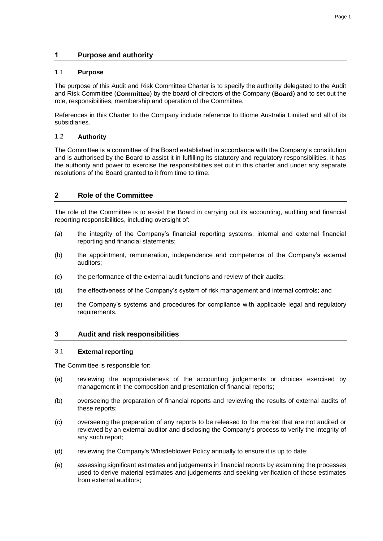## **1 Purpose and authority**

#### 1.1 **Purpose**

The purpose of this Audit and Risk Committee Charter is to specify the authority delegated to the Audit and Risk Committee (**Committee**) by the board of directors of the Company (**Board**) and to set out the role, responsibilities, membership and operation of the Committee.

References in this Charter to the Company include reference to Biome Australia Limited and all of its subsidiaries.

#### 1.2 **Authority**

The Committee is a committee of the Board established in accordance with the Company's constitution and is authorised by the Board to assist it in fulfilling its statutory and regulatory responsibilities. It has the authority and power to exercise the responsibilities set out in this charter and under any separate resolutions of the Board granted to it from time to time.

## **2 Role of the Committee**

The role of the Committee is to assist the Board in carrying out its accounting, auditing and financial reporting responsibilities, including oversight of:

- (a) the integrity of the Company's financial reporting systems, internal and external financial reporting and financial statements;
- (b) the appointment, remuneration, independence and competence of the Company's external auditors;
- (c) the performance of the external audit functions and review of their audits;
- (d) the effectiveness of the Company's system of risk management and internal controls; and
- (e) the Company's systems and procedures for compliance with applicable legal and regulatory requirements.

#### **3 Audit and risk responsibilities**

#### 3.1 **External reporting**

The Committee is responsible for:

- (a) reviewing the appropriateness of the accounting judgements or choices exercised by management in the composition and presentation of financial reports;
- (b) overseeing the preparation of financial reports and reviewing the results of external audits of these reports;
- (c) overseeing the preparation of any reports to be released to the market that are not audited or reviewed by an external auditor and disclosing the Company's process to verify the integrity of any such report;
- (d) reviewing the Company's Whistleblower Policy annually to ensure it is up to date;
- (e) assessing significant estimates and judgements in financial reports by examining the processes used to derive material estimates and judgements and seeking verification of those estimates from external auditors;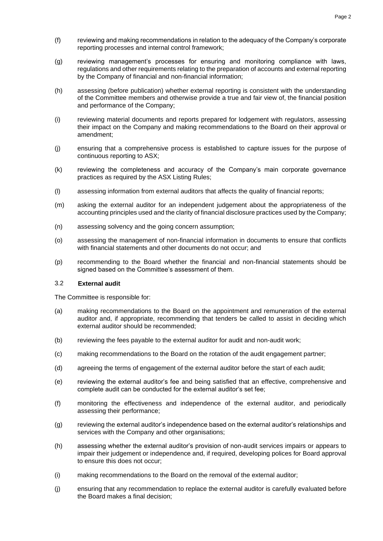- (f) reviewing and making recommendations in relation to the adequacy of the Company's corporate reporting processes and internal control framework;
- (g) reviewing management's processes for ensuring and monitoring compliance with laws, regulations and other requirements relating to the preparation of accounts and external reporting by the Company of financial and non-financial information;
- (h) assessing (before publication) whether external reporting is consistent with the understanding of the Committee members and otherwise provide a true and fair view of, the financial position and performance of the Company;
- (i) reviewing material documents and reports prepared for lodgement with regulators, assessing their impact on the Company and making recommendations to the Board on their approval or amendment;
- (j) ensuring that a comprehensive process is established to capture issues for the purpose of continuous reporting to ASX;
- (k) reviewing the completeness and accuracy of the Company's main corporate governance practices as required by the ASX Listing Rules;
- (l) assessing information from external auditors that affects the quality of financial reports;
- (m) asking the external auditor for an independent judgement about the appropriateness of the accounting principles used and the clarity of financial disclosure practices used by the Company;
- (n) assessing solvency and the going concern assumption;
- (o) assessing the management of non-financial information in documents to ensure that conflicts with financial statements and other documents do not occur; and
- (p) recommending to the Board whether the financial and non-financial statements should be signed based on the Committee's assessment of them.

#### 3.2 **External audit**

The Committee is responsible for:

- (a) making recommendations to the Board on the appointment and remuneration of the external auditor and, if appropriate, recommending that tenders be called to assist in deciding which external auditor should be recommended;
- (b) reviewing the fees payable to the external auditor for audit and non-audit work;
- (c) making recommendations to the Board on the rotation of the audit engagement partner;
- (d) agreeing the terms of engagement of the external auditor before the start of each audit;
- (e) reviewing the external auditor's fee and being satisfied that an effective, comprehensive and complete audit can be conducted for the external auditor's set fee;
- (f) monitoring the effectiveness and independence of the external auditor, and periodically assessing their performance;
- (g) reviewing the external auditor's independence based on the external auditor's relationships and services with the Company and other organisations;
- (h) assessing whether the external auditor's provision of non-audit services impairs or appears to impair their judgement or independence and, if required, developing polices for Board approval to ensure this does not occur;
- (i) making recommendations to the Board on the removal of the external auditor;
- (j) ensuring that any recommendation to replace the external auditor is carefully evaluated before the Board makes a final decision;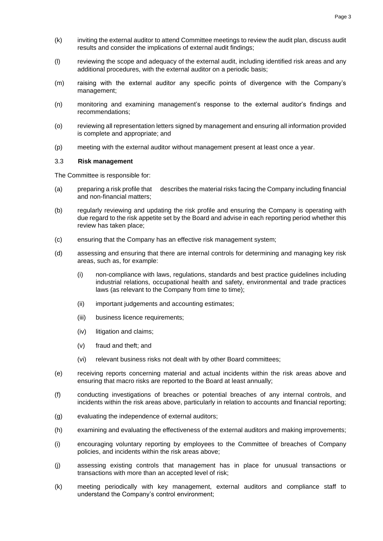- (k) inviting the external auditor to attend Committee meetings to review the audit plan, discuss audit results and consider the implications of external audit findings;
- (l) reviewing the scope and adequacy of the external audit, including identified risk areas and any additional procedures, with the external auditor on a periodic basis;
- (m) raising with the external auditor any specific points of divergence with the Company's management;
- (n) monitoring and examining management's response to the external auditor's findings and recommendations;
- (o) reviewing all representation letters signed by management and ensuring all information provided is complete and appropriate; and
- (p) meeting with the external auditor without management present at least once a year.

#### 3.3 **Risk management**

The Committee is responsible for:

- (a) preparing a risk profile that describes the material risks facing the Company including financial and non-financial matters;
- (b) regularly reviewing and updating the risk profile and ensuring the Company is operating with due regard to the risk appetite set by the Board and advise in each reporting period whether this review has taken place;
- (c) ensuring that the Company has an effective risk management system;
- (d) assessing and ensuring that there are internal controls for determining and managing key risk areas, such as, for example:
	- (i) non-compliance with laws, regulations, standards and best practice guidelines including industrial relations, occupational health and safety, environmental and trade practices laws (as relevant to the Company from time to time);
	- (ii) important judgements and accounting estimates;
	- (iii) business licence requirements;
	- (iv) litigation and claims;
	- (v) fraud and theft; and
	- (vi) relevant business risks not dealt with by other Board committees;
- (e) receiving reports concerning material and actual incidents within the risk areas above and ensuring that macro risks are reported to the Board at least annually;
- (f) conducting investigations of breaches or potential breaches of any internal controls, and incidents within the risk areas above, particularly in relation to accounts and financial reporting;
- (g) evaluating the independence of external auditors;
- (h) examining and evaluating the effectiveness of the external auditors and making improvements;
- (i) encouraging voluntary reporting by employees to the Committee of breaches of Company policies, and incidents within the risk areas above;
- (j) assessing existing controls that management has in place for unusual transactions or transactions with more than an accepted level of risk;
- (k) meeting periodically with key management, external auditors and compliance staff to understand the Company's control environment;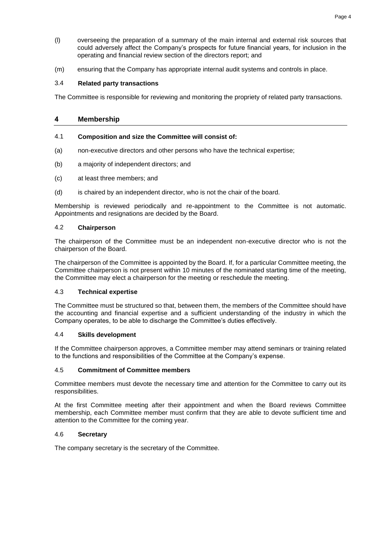- (l) overseeing the preparation of a summary of the main internal and external risk sources that could adversely affect the Company's prospects for future financial years, for inclusion in the operating and financial review section of the directors report; and
- (m) ensuring that the Company has appropriate internal audit systems and controls in place.

## 3.4 **Related party transactions**

The Committee is responsible for reviewing and monitoring the propriety of related party transactions.

## **4 Membership**

#### 4.1 **Composition and size the Committee will consist of:**

- (a) non-executive directors and other persons who have the technical expertise;
- (b) a majority of independent directors; and
- (c) at least three members; and
- (d) is chaired by an independent director, who is not the chair of the board.

Membership is reviewed periodically and re-appointment to the Committee is not automatic. Appointments and resignations are decided by the Board.

#### 4.2 **Chairperson**

The chairperson of the Committee must be an independent non-executive director who is not the chairperson of the Board.

The chairperson of the Committee is appointed by the Board. If, for a particular Committee meeting, the Committee chairperson is not present within 10 minutes of the nominated starting time of the meeting, the Committee may elect a chairperson for the meeting or reschedule the meeting.

### 4.3 **Technical expertise**

The Committee must be structured so that, between them, the members of the Committee should have the accounting and financial expertise and a sufficient understanding of the industry in which the Company operates, to be able to discharge the Committee's duties effectively.

## 4.4 **Skills development**

If the Committee chairperson approves, a Committee member may attend seminars or training related to the functions and responsibilities of the Committee at the Company's expense.

#### 4.5 **Commitment of Committee members**

Committee members must devote the necessary time and attention for the Committee to carry out its responsibilities.

At the first Committee meeting after their appointment and when the Board reviews Committee membership, each Committee member must confirm that they are able to devote sufficient time and attention to the Committee for the coming year.

#### 4.6 **Secretary**

The company secretary is the secretary of the Committee.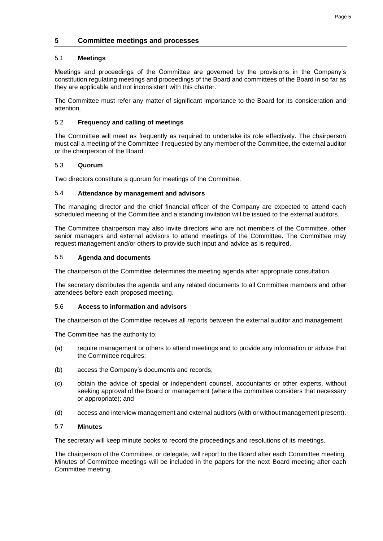## **5 Committee meetings and processes**

## 5.1 **Meetings**

Meetings and proceedings of the Committee are governed by the provisions in the Company's constitution regulating meetings and proceedings of the Board and committees of the Board in so far as they are applicable and not inconsistent with this charter.

The Committee must refer any matter of significant importance to the Board for its consideration and attention.

## 5.2 **Frequency and calling of meetings**

The Committee will meet as frequently as required to undertake its role effectively. The chairperson must call a meeting of the Committee if requested by any member of the Committee, the external auditor or the chairperson of the Board.

## 5.3 **Quorum**

Two directors constitute a quorum for meetings of the Committee.

## 5.4 **Attendance by management and advisors**

The managing director and the chief financial officer of the Company are expected to attend each scheduled meeting of the Committee and a standing invitation will be issued to the external auditors.

The Committee chairperson may also invite directors who are not members of the Committee, other senior managers and external advisors to attend meetings of the Committee. The Committee may request management and/or others to provide such input and advice as is required.

## 5.5 **Agenda and documents**

The chairperson of the Committee determines the meeting agenda after appropriate consultation.

The secretary distributes the agenda and any related documents to all Committee members and other attendees before each proposed meeting.

#### 5.6 **Access to information and advisors**

The chairperson of the Committee receives all reports between the external auditor and management.

The Committee has the authority to:

- (a) require management or others to attend meetings and to provide any information or advice that the Committee requires:
- (b) access the Company's documents and records;
- (c) obtain the advice of special or independent counsel, accountants or other experts, without seeking approval of the Board or management (where the committee considers that necessary or appropriate); and
- (d) access and interview management and external auditors (with or without management present).

#### 5.7 **Minutes**

The secretary will keep minute books to record the proceedings and resolutions of its meetings.

The chairperson of the Committee, or delegate, will report to the Board after each Committee meeting. Minutes of Committee meetings will be included in the papers for the next Board meeting after each Committee meeting.